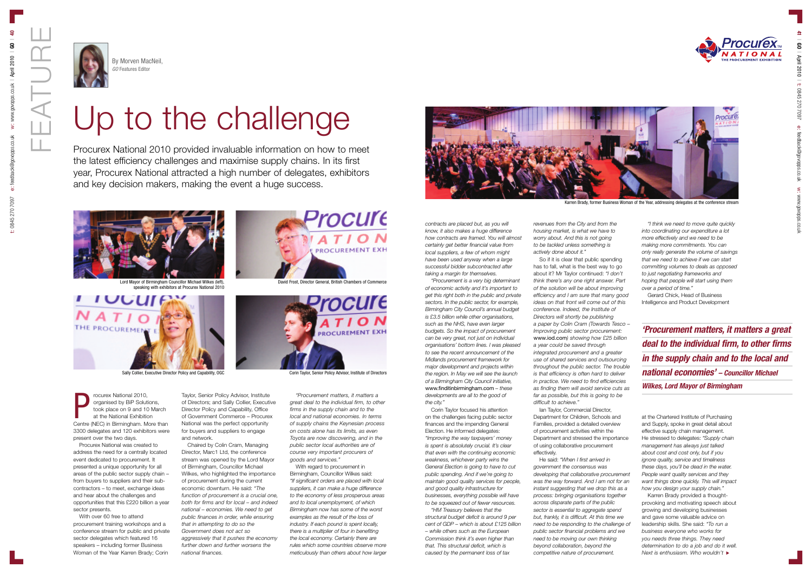



## Up to the challenge

*contracts are placed but, as you will know, it also makes a huge difference how contracts are framed. You will almost certainly get better financial value from local suppliers, a few of whom might have been used anyway when a large successful bidder subcontracted after taking a margin for themselves.* 

*"Procurement is a very big determinant of economic activity and it's important to get this right both in the public and private sectors. In the public sector, for example, Birmingham City Council's annual budget is £3.5 billion while other organisations, such as the NHS, have even larger budgets. So the impact of procurement can be very great, not just on individual organisations' bottom lines. I was pleased to see the recent announcement of the Midlands procurement framework for major development and projects within the region. In May we will see the launch of a Birmingham City Council initiative,* **www.finditinbirmingham.com** *– these developments are all to the good of the city."*

Corin Taylor focused his attention on the challenges facing public sector finances and the impending General Election. He informed delegates: *"Improving the way taxpayers' money is spent is absolutely crucial. It's clear that even with the continuing economic weakness, whichever party wins the General Election is going to have to cut public spending. And if we're going to maintain good quality services for people, and good quality infrastructure for businesses, everything possible will have to be squeezed out of fewer resources.* 

*"HM Treasury believes that the structural budget deficit is around 9 per cent of GDP – which is about £125 billion – while others such as the European Commission think it's even higher than that. This structural deficit, which is caused by the permanent loss of tax*

*revenues from the City and from the housing market, is what we have to worry about. And this is not going to be tackled unless something is actively done about it."*

So if it is clear that public spending has to fall, what is the best way to go about it? Mr Taylor continued: *"I don't think there's any one right answer. Part of the solution will be about improving efficiency and I am sure that many good ideas on that front will come out of this conference. Indeed, the Institute of Directors will shortly be publishing a paper by Colin Cram (Towards Tesco – Improving public sector procurement:* **www.iod.com***) showing how £25 billion a year could be saved through integrated procurement and a greater use of shared services and outsourcing throughout the public sector. The trouble is that efficiency is often hard to deliver in practice. We need to find efficiencies as finding them will avoid service cuts as far as possible, but this is going to be difficult to achieve."* Ian Taylor, Commercial Director,

Department for Children, Schools and Families, provided a detailed overview of procurement activities within the Department and stressed the importance of using collaborative procurement effectively.

He said: *"When I first arrived in government the consensus was developing that collaborative procurement was the way forward. And I am not for an instant suggesting that we drop this as a process: bringing organisations together across disparate parts of the public sector is essential to aggregate spend but, frankly, it is difficult. At this time we need to be responding to the challenge of public sector financial problems and we need to be moving our own thinking beyond collaboration, beyond the competitive nature of procurement.* 

*"I think we need to move quite quickly into coordinating our expenditure a lot more effectively and we need to be making more commitments. You can only really generate the volume of savings that we need to achieve if we can start committing volumes to deals as opposed to just negotiating frameworks and hoping that people will start using them over a period of time."* Gerard Chick, Head of Business

Lord Mayor of Birmingham Councillor Michael Wilkes (left), David Frost, Director General, British Chambers of Commerce speaking with exhibitors at Procurex National 2010



Intelligence and Product Development

at the Chartered Institute of Purchasing and Supply, spoke in great detail about effective supply chain management. He stressed to delegates: *"Supply chain management has always just talked about cost and cost only, but if you ignore quality, service and timeliness these days, you'll be dead in the water. People want quality services and they want things done quickly. This will impact how you design your supply chain."*

Karren Brady provided a thoughtprovoking and motivating speech about growing and developing businesses and gave some valuable advice on leadership skills. She said: *"To run a business everyone who works for you needs three things. They need determination to do a job and do it well. Next is enthusiasm. Who wouldn't* u

Procurex National 2010 provided invaluable information on how to meet the latest efficiency challenges and maximise supply chains. In its first year, Procurex National attracted a high number of delegates, exhibitors and key decision makers, making the event a huge success.



*'Procurement matters, it matters a great deal to the individual firm, to other firms in the supply chain and to the local and national economies' – Councillor Michael Wilkes, Lord Mayor of Birmingham*

By Morven MacNeil, *GO* Features Editor

rocurex National 2010, organised by BiP Solutions, took place on 9 and 10 March at the National Exhibition The Courex National 2010,<br>
organised by BiP Solutions,<br>
took place on 9 and 10 March<br>
at the National Exhibition<br>
Centre (NEC) in Birmingham. More than 3300 delegates and 120 exhibitors were present over the two days.

Procurex National was created to address the need for a centrally located event dedicated to procurement. It presented a unique opportunity for all areas of the public sector supply chain – from buyers to suppliers and their subcontractors – to meet, exchange ideas and hear about the challenges and opportunities that this £220 billion a year sector presents.

With over 60 free to attend procurement training workshops and a conference stream for public and private sector delegates which featured 16 speakers – including former Business Woman of the Year Karren Brady; Corin

Taylor, Senior Policy Advisor, Institute of Directors; and Sally Collier, Executive Director Policy and Capability, Office of Government Commerce – Procurex National was the perfect opportunity for buyers and suppliers to engage and network.

Chaired by Colin Cram, Managing Director, Marc1 Ltd, the conference stream was opened by the Lord Mayor of Birmingham, Councillor Michael Wilkes, who highlighted the importance of procurement during the current economic downturn. He said: *"The function of procurement is a crucial one, both for firms and for local – and indeed national – economies. We need to get public finances in order, while ensuring that in attempting to do so the Government does not act so aggressively that it pushes the economy further down and further worsens the national finances.* 

**pcure ROCUREMENT EXH** 



Sally Collier, Executive Director Policy and Capability, OGC Corin Caylor, Senior Policy Advisor, Institute of Directors

*"Procurement matters, it matters a great deal to the individual firm, to other firms in the supply chain and to the local and national economies. In terms of supply chains the Keynesian process on costs alone has its limits, as even Toyota are now discovering, and in the public sector local authorities are of course very important procurers of goods and services."*

With regard to procurement in Birmingham, Councillor Wilkes said: *"If significant orders are placed with local suppliers, it can make a huge difference to the economy of less prosperous areas and to local unemployment, of which Birmingham now has some of the worst examples as the result of the loss of industry. If each pound is spent locally, there is a multiplier of four in benefiting the local economy. Certainly there are rules which some countries observe more meticulously than others about how larger*



Karren Brady, former Business Woman of the Year, addressing delegates at the conference stream